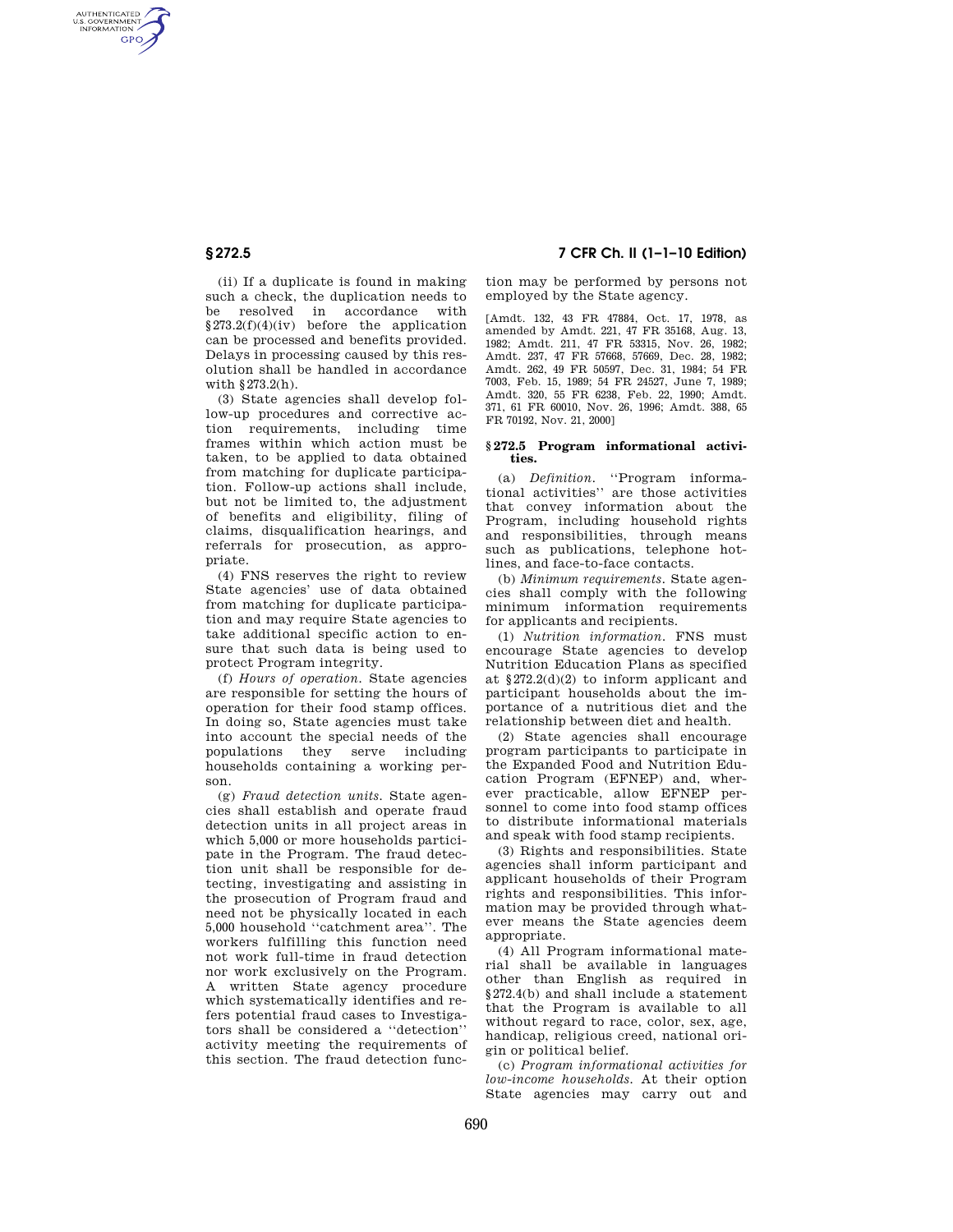AUTHENTICATED<br>U.S. GOVERNMENT<br>INFORMATION **GPO** 

> (ii) If a duplicate is found in making such a check, the duplication needs to be resolved in accordance with  $§273.2(f)(4)(iv)$  before the application can be processed and benefits provided. Delays in processing caused by this resolution shall be handled in accordance with §273.2(h).

> (3) State agencies shall develop follow-up procedures and corrective action requirements, including time frames within which action must be taken, to be applied to data obtained from matching for duplicate participation. Follow-up actions shall include, but not be limited to, the adjustment of benefits and eligibility, filing of claims, disqualification hearings, and referrals for prosecution, as appropriate.

> (4) FNS reserves the right to review State agencies' use of data obtained from matching for duplicate participation and may require State agencies to take additional specific action to ensure that such data is being used to protect Program integrity.

> (f) *Hours of operation.* State agencies are responsible for setting the hours of operation for their food stamp offices. In doing so, State agencies must take into account the special needs of the populations they serve including households containing a working person.

> (g) *Fraud detection units.* State agencies shall establish and operate fraud detection units in all project areas in which 5,000 or more households participate in the Program. The fraud detection unit shall be responsible for detecting, investigating and assisting in the prosecution of Program fraud and need not be physically located in each 5,000 household ''catchment area''. The workers fulfilling this function need not work full-time in fraud detection nor work exclusively on the Program. A written State agency procedure which systematically identifies and refers potential fraud cases to Investigators shall be considered a ''detection'' activity meeting the requirements of this section. The fraud detection func-

# **§ 272.5 7 CFR Ch. II (1–1–10 Edition)**

tion may be performed by persons not employed by the State agency.

[Amdt. 132, 43 FR 47884, Oct. 17, 1978, as amended by Amdt. 221, 47 FR 35168, Aug. 13, 1982; Amdt. 211, 47 FR 53315, Nov. 26, 1982; Amdt. 237, 47 FR 57668, 57669, Dec. 28, 1982; Amdt. 262, 49 FR 50597, Dec. 31, 1984; 54 FR 7003, Feb. 15, 1989; 54 FR 24527, June 7, 1989; Amdt. 320, 55 FR 6238, Feb. 22, 1990; Amdt. 371, 61 FR 60010, Nov. 26, 1996; Amdt. 388, 65 FR 70192, Nov. 21, 2000]

#### **§ 272.5 Program informational activities.**

(a) *Definition.* ''Program informational activities'' are those activities that convey information about the Program, including household rights and responsibilities, through means such as publications, telephone hotlines, and face-to-face contacts.

(b) *Minimum requirements.* State agencies shall comply with the following minimum information requirements for applicants and recipients.

(1) *Nutrition information.* FNS must encourage State agencies to develop Nutrition Education Plans as specified at §272.2(d)(2) to inform applicant and participant households about the importance of a nutritious diet and the relationship between diet and health.

(2) State agencies shall encourage program participants to participate in the Expanded Food and Nutrition Education Program (EFNEP) and, wherever practicable, allow EFNEP personnel to come into food stamp offices to distribute informational materials and speak with food stamp recipients.

(3) Rights and responsibilities. State agencies shall inform participant and applicant households of their Program rights and responsibilities. This information may be provided through whatever means the State agencies deem appropriate.

(4) All Program informational material shall be available in languages other than English as required in §272.4(b) and shall include a statement that the Program is available to all without regard to race, color, sex, age, handicap, religious creed, national origin or political belief.

(c) *Program informational activities for low-income households.* At their option State agencies may carry out and